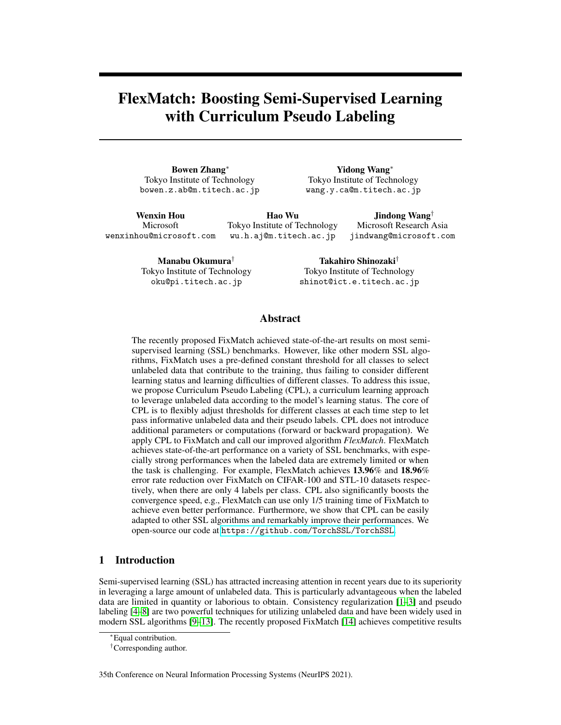# FlexMatch: Boosting Semi-Supervised Learning with Curriculum Pseudo Labeling

Bowen Zhang<sup>∗</sup> Tokyo Institute of Technology bowen.z.ab@m.titech.ac.jp

Yidong Wang<sup>∗</sup> Tokyo Institute of Technology wang.y.ca@m.titech.ac.jp

Wenxin Hou Microsoft wenxinhou@microsoft.com

Hao Wu Tokyo Institute of Technology wu.h.aj@m.titech.ac.jp

Microsoft Research Asia jindwang@microsoft.com

Jindong Wang†

Manabu Okumura† Tokyo Institute of Technology oku@pi.titech.ac.jp

Takahiro Shinozaki† Tokyo Institute of Technology shinot@ict.e.titech.ac.jp

# Abstract

The recently proposed FixMatch achieved state-of-the-art results on most semisupervised learning (SSL) benchmarks. However, like other modern SSL algorithms, FixMatch uses a pre-defined constant threshold for all classes to select unlabeled data that contribute to the training, thus failing to consider different learning status and learning difficulties of different classes. To address this issue, we propose Curriculum Pseudo Labeling (CPL), a curriculum learning approach to leverage unlabeled data according to the model's learning status. The core of CPL is to flexibly adjust thresholds for different classes at each time step to let pass informative unlabeled data and their pseudo labels. CPL does not introduce additional parameters or computations (forward or backward propagation). We apply CPL to FixMatch and call our improved algorithm *FlexMatch*. FlexMatch achieves state-of-the-art performance on a variety of SSL benchmarks, with especially strong performances when the labeled data are extremely limited or when the task is challenging. For example, FlexMatch achieves 13.96% and 18.96% error rate reduction over FixMatch on CIFAR-100 and STL-10 datasets respectively, when there are only 4 labels per class. CPL also significantly boosts the convergence speed, e.g., FlexMatch can use only 1/5 training time of FixMatch to achieve even better performance. Furthermore, we show that CPL can be easily adapted to other SSL algorithms and remarkably improve their performances. We open-source our code at <https://github.com/TorchSSL/TorchSSL>.

# 1 Introduction

Semi-supervised learning (SSL) has attracted increasing attention in recent years due to its superiority in leveraging a large amount of unlabeled data. This is particularly advantageous when the labeled data are limited in quantity or laborious to obtain. Consistency regularization [\[1–](#page-9-0)[3\]](#page-9-1) and pseudo labeling [\[4](#page-9-2)[–8\]](#page-9-3) are two powerful techniques for utilizing unlabeled data and have been widely used in modern SSL algorithms [\[9–](#page-9-4)[13\]](#page-9-5). The recently proposed FixMatch [\[14\]](#page-9-6) achieves competitive results

35th Conference on Neural Information Processing Systems (NeurIPS 2021).

<sup>∗</sup>Equal contribution.

<sup>†</sup>Corresponding author.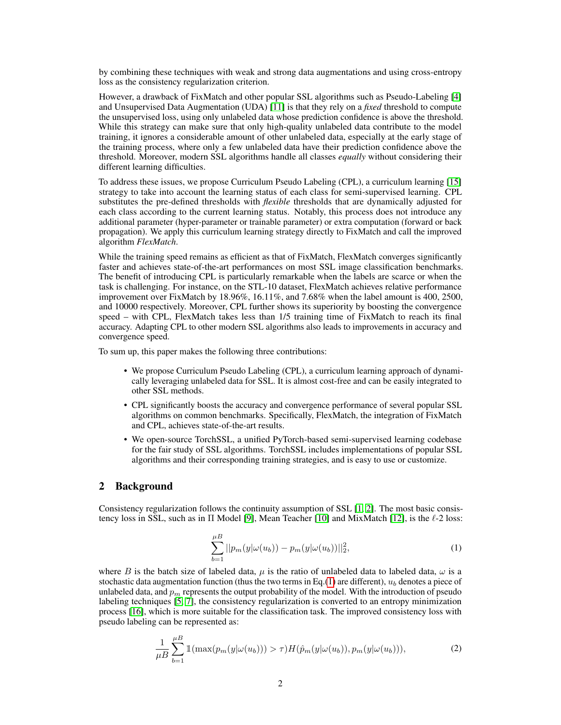by combining these techniques with weak and strong data augmentations and using cross-entropy loss as the consistency regularization criterion.

However, a drawback of FixMatch and other popular SSL algorithms such as Pseudo-Labeling [\[4\]](#page-9-2) and Unsupervised Data Augmentation (UDA) [\[11\]](#page-9-7) is that they rely on a *fixed* threshold to compute the unsupervised loss, using only unlabeled data whose prediction confidence is above the threshold. While this strategy can make sure that only high-quality unlabeled data contribute to the model training, it ignores a considerable amount of other unlabeled data, especially at the early stage of the training process, where only a few unlabeled data have their prediction confidence above the threshold. Moreover, modern SSL algorithms handle all classes *equally* without considering their different learning difficulties.

To address these issues, we propose Curriculum Pseudo Labeling (CPL), a curriculum learning [\[15\]](#page-10-0) strategy to take into account the learning status of each class for semi-supervised learning. CPL substitutes the pre-defined thresholds with *flexible* thresholds that are dynamically adjusted for each class according to the current learning status. Notably, this process does not introduce any additional parameter (hyper-parameter or trainable parameter) or extra computation (forward or back propagation). We apply this curriculum learning strategy directly to FixMatch and call the improved algorithm *FlexMatch*.

While the training speed remains as efficient as that of FixMatch, FlexMatch converges significantly faster and achieves state-of-the-art performances on most SSL image classification benchmarks. The benefit of introducing CPL is particularly remarkable when the labels are scarce or when the task is challenging. For instance, on the STL-10 dataset, FlexMatch achieves relative performance improvement over FixMatch by 18.96%, 16.11%, and 7.68% when the label amount is 400, 2500, and 10000 respectively. Moreover, CPL further shows its superiority by boosting the convergence speed – with CPL, FlexMatch takes less than 1/5 training time of FixMatch to reach its final accuracy. Adapting CPL to other modern SSL algorithms also leads to improvements in accuracy and convergence speed.

To sum up, this paper makes the following three contributions:

- We propose Curriculum Pseudo Labeling (CPL), a curriculum learning approach of dynamically leveraging unlabeled data for SSL. It is almost cost-free and can be easily integrated to other SSL methods.
- CPL significantly boosts the accuracy and convergence performance of several popular SSL algorithms on common benchmarks. Specifically, FlexMatch, the integration of FixMatch and CPL, achieves state-of-the-art results.
- We open-source TorchSSL, a unified PyTorch-based semi-supervised learning codebase for the fair study of SSL algorithms. TorchSSL includes implementations of popular SSL algorithms and their corresponding training strategies, and is easy to use or customize.

## 2 Background

<span id="page-1-0"></span>Consistency regularization follows the continuity assumption of SSL [\[1,](#page-9-0) [2\]](#page-9-8). The most basic consistency loss in SSL, such as in  $\Pi$  Model [\[9\]](#page-9-4), Mean Teacher [\[10\]](#page-9-9) and MixMatch [\[12\]](#page-9-10), is the  $\ell$ -2 loss:

$$
\sum_{b=1}^{\mu} ||p_m(y|\omega(u_b)) - p_m(y|\omega(u_b))||_2^2, \tag{1}
$$

where B is the batch size of labeled data,  $\mu$  is the ratio of unlabeled data to labeled data,  $\omega$  is a stochastic data augmentation function (thus the two terms in Eq.[\(1\)](#page-1-0) are different),  $u<sub>b</sub>$  denotes a piece of unlabeled data, and  $p_m$  represents the output probability of the model. With the introduction of pseudo labeling techniques [\[5,](#page-9-11) [7\]](#page-9-12), the consistency regularization is converted to an entropy minimization process [\[16\]](#page-10-1), which is more suitable for the classification task. The improved consistency loss with pseudo labeling can be represented as:

$$
\frac{1}{\mu B} \sum_{b=1}^{\mu B} \mathbb{1}(\max(p_m(y|\omega(u_b))) > \tau) H(\hat{p}_m(y|\omega(u_b)), p_m(y|\omega(u_b))), \tag{2}
$$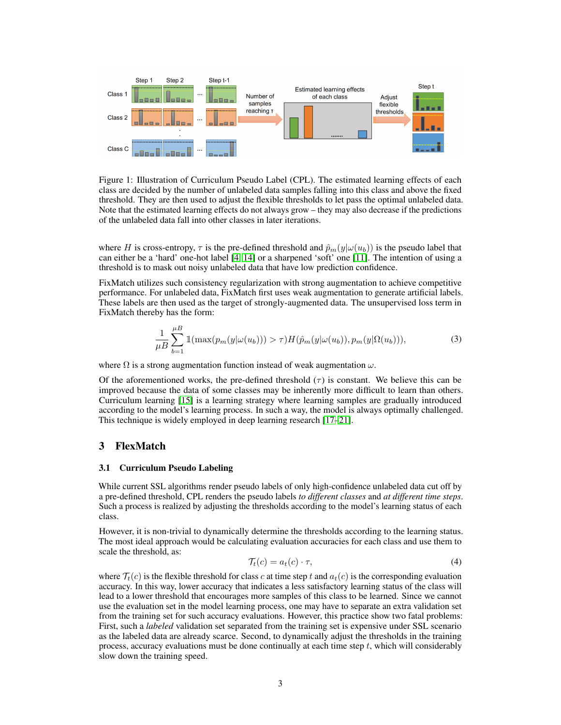

Figure 1: Illustration of Curriculum Pseudo Label (CPL). The estimated learning effects of each class are decided by the number of unlabeled data samples falling into this class and above the fixed threshold. They are then used to adjust the flexible thresholds to let pass the optimal unlabeled data. Note that the estimated learning effects do not always grow – they may also decrease if the predictions of the unlabeled data fall into other classes in later iterations.

where H is cross-entropy,  $\tau$  is the pre-defined threshold and  $\hat{p}_m(y|\omega(u_b))$  is the pseudo label that can either be a 'hard' one-hot label [\[4,](#page-9-2) [14\]](#page-9-6) or a sharpened 'soft' one [\[11\]](#page-9-7). The intention of using a threshold is to mask out noisy unlabeled data that have low prediction confidence.

FixMatch utilizes such consistency regularization with strong augmentation to achieve competitive performance. For unlabeled data, FixMatch first uses weak augmentation to generate artificial labels. These labels are then used as the target of strongly-augmented data. The unsupervised loss term in FixMatch thereby has the form:

$$
\frac{1}{\mu B} \sum_{b=1}^{\mu B} \mathbb{1}(\max(p_m(y|\omega(u_b))) > \tau) H(\hat{p}_m(y|\omega(u_b)), p_m(y|\Omega(u_b))), \tag{3}
$$

where  $\Omega$  is a strong augmentation function instead of weak augmentation  $\omega$ .

Of the aforementioned works, the pre-defined threshold  $(\tau)$  is constant. We believe this can be improved because the data of some classes may be inherently more difficult to learn than others. Curriculum learning [\[15\]](#page-10-0) is a learning strategy where learning samples are gradually introduced according to the model's learning process. In such a way, the model is always optimally challenged. This technique is widely employed in deep learning research [\[17](#page-10-2)[–21\]](#page-10-3).

## 3 FlexMatch

#### 3.1 Curriculum Pseudo Labeling

While current SSL algorithms render pseudo labels of only high-confidence unlabeled data cut off by a pre-defined threshold, CPL renders the pseudo labels *to different classes* and *at different time steps*. Such a process is realized by adjusting the thresholds according to the model's learning status of each class.

However, it is non-trivial to dynamically determine the thresholds according to the learning status. The most ideal approach would be calculating evaluation accuracies for each class and use them to scale the threshold, as:

$$
\mathcal{T}_t(c) = a_t(c) \cdot \tau,\tag{4}
$$

where  $\mathcal{T}_t(c)$  is the flexible threshold for class c at time step t and  $a_t(c)$  is the corresponding evaluation accuracy. In this way, lower accuracy that indicates a less satisfactory learning status of the class will lead to a lower threshold that encourages more samples of this class to be learned. Since we cannot use the evaluation set in the model learning process, one may have to separate an extra validation set from the training set for such accuracy evaluations. However, this practice show two fatal problems: First, such a *labeled* validation set separated from the training set is expensive under SSL scenario as the labeled data are already scarce. Second, to dynamically adjust the thresholds in the training process, accuracy evaluations must be done continually at each time step t, which will considerably slow down the training speed.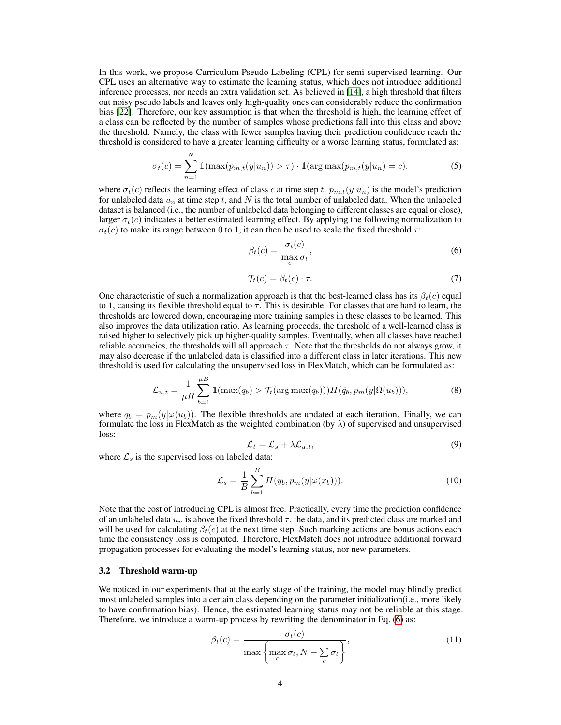In this work, we propose Curriculum Pseudo Labeling (CPL) for semi-supervised learning. Our CPL uses an alternative way to estimate the learning status, which does not introduce additional inference processes, nor needs an extra validation set. As believed in [\[14\]](#page-9-6), a high threshold that filters out noisy pseudo labels and leaves only high-quality ones can considerably reduce the confirmation bias [\[22\]](#page-10-4). Therefore, our key assumption is that when the threshold is high, the learning effect of a class can be reflected by the number of samples whose predictions fall into this class and above the threshold. Namely, the class with fewer samples having their prediction confidence reach the threshold is considered to have a greater learning difficulty or a worse learning status, formulated as:

$$
\sigma_t(c) = \sum_{n=1}^{N} \mathbb{1}(\max(p_{m,t}(y|u_n)) > \tau) \cdot \mathbb{1}(\arg \max(p_{m,t}(y|u_n) = c).
$$
 (5)

where  $\sigma_t(c)$  reflects the learning effect of class c at time step t.  $p_{m,t}(y|u_n)$  is the model's prediction for unlabeled data  $u_n$  at time step t, and N is the total number of unlabeled data. When the unlabeled dataset is balanced (i.e., the number of unlabeled data belonging to different classes are equal or close), larger  $\sigma_t(c)$  indicates a better estimated learning effect. By applying the following normalization to  $\sigma_t(c)$  to make its range between 0 to 1, it can then be used to scale the fixed threshold  $\tau$ :

<span id="page-3-0"></span>
$$
\beta_t(c) = \frac{\sigma_t(c)}{\max_c \sigma_t},\tag{6}
$$

$$
\mathcal{T}_t(c) = \beta_t(c) \cdot \tau. \tag{7}
$$

<span id="page-3-2"></span>One characteristic of such a normalization approach is that the best-learned class has its  $\beta_t(c)$  equal to 1, causing its flexible threshold equal to  $\tau$ . This is desirable. For classes that are hard to learn, the thresholds are lowered down, encouraging more training samples in these classes to be learned. This also improves the data utilization ratio. As learning proceeds, the threshold of a well-learned class is raised higher to selectively pick up higher-quality samples. Eventually, when all classes have reached reliable accuracies, the thresholds will all approach  $\tau$ . Note that the thresholds do not always grow, it may also decrease if the unlabeled data is classified into a different class in later iterations. This new threshold is used for calculating the unsupervised loss in FlexMatch, which can be formulated as:

$$
\mathcal{L}_{u,t} = \frac{1}{\mu B} \sum_{b=1}^{\mu B} \mathbb{1}(\max(q_b) > \mathcal{T}_t(\arg \max(q_b))) H(\hat{q}_b, p_m(y|\Omega(u_b))),\tag{8}
$$

<span id="page-3-5"></span>where  $q_b = p_m(y|\omega(u_b))$ . The flexible thresholds are updated at each iteration. Finally, we can formulate the loss in FlexMatch as the weighted combination (by  $\lambda$ ) of supervised and unsupervised loss:

<span id="page-3-4"></span><span id="page-3-3"></span>
$$
\mathcal{L}_t = \mathcal{L}_s + \lambda \mathcal{L}_{u,t},\tag{9}
$$

where  $\mathcal{L}_s$  is the supervised loss on labeled data:

$$
\mathcal{L}_s = \frac{1}{B} \sum_{b=1}^{B} H(y_b, p_m(y|\omega(x_b))).
$$
 (10)

Note that the cost of introducing CPL is almost free. Practically, every time the prediction confidence of an unlabeled data  $u_n$  is above the fixed threshold  $\tau$ , the data, and its predicted class are marked and will be used for calculating  $\beta_t(c)$  at the next time step. Such marking actions are bonus actions each time the consistency loss is computed. Therefore, FlexMatch does not introduce additional forward propagation processes for evaluating the model's learning status, nor new parameters.

#### 3.2 Threshold warm-up

We noticed in our experiments that at the early stage of the training, the model may blindly predict most unlabeled samples into a certain class depending on the parameter initialization(i.e., more likely to have confirmation bias). Hence, the estimated learning status may not be reliable at this stage. Therefore, we introduce a warm-up process by rewriting the denominator in Eq. [\(6\)](#page-3-0) as:

<span id="page-3-1"></span>
$$
\beta_t(c) = \frac{\sigma_t(c)}{\max\left\{\max\limits_c \sigma_t, N - \sum_c \sigma_t\right\}},\tag{11}
$$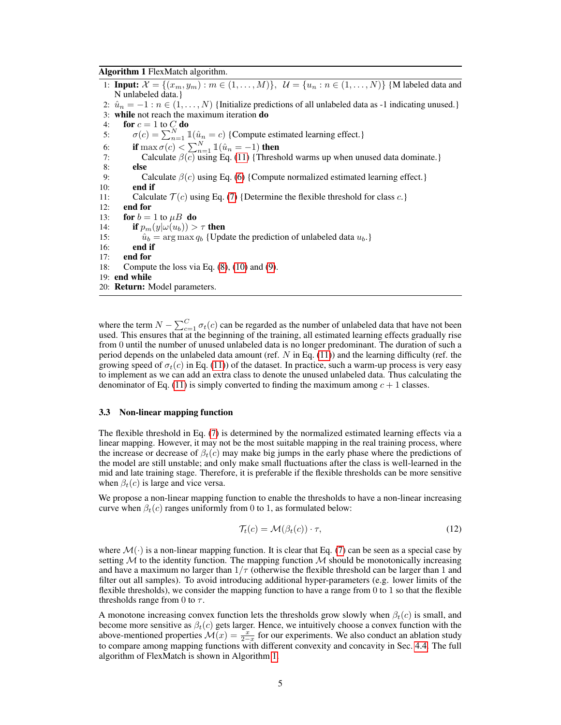#### Algorithm 1 FlexMatch algorithm.

<span id="page-4-0"></span>1: **Input:**  $\mathcal{X} = \{(x_m, y_m) : m \in (1, ..., M)\}, \mathcal{U} = \{u_n : n \in (1, ..., N)\}\$  {M labeled data and N unlabeled data.} 2:  $\hat{u}_n = -1 : n \in (1, ..., N)$  {Initialize predictions of all unlabeled data as -1 indicating unused.} 3: while not reach the maximum iteration do 4: **for**  $c = 1$  to  $C$  **do** 5:  $\sigma(c) = \sum_{n=1}^{N} \mathbb{1}(\hat{u}_n = c)$  {Compute estimated learning effect.} 6: if  $\max \sigma(c) < \sum_{n=1}^{N} \mathbb{1}(\hat{u}_n = -1)$  then 7: Calculate  $\beta(c)$  using Eq. [\(11\)](#page-3-1) {Threshold warms up when unused data dominate.} 8: else 9: Calculate  $\beta(c)$  using Eq. [\(6\)](#page-3-0) {Compute normalized estimated learning effect.} 10: end if 11: Calculate  $\mathcal{T}(c)$  using Eq. [\(7\)](#page-3-2) {Determine the flexible threshold for class c.} 12: end for 13: for  $b = 1$  to  $\mu B$  do 14: **if**  $p_m(y|\omega(u_b)) > \tau$  then<br>15:  $\hat{u}_b = \arg \max q_b$  {Upd 15:  $\hat{u}_b = \arg \max q_b$  {Update the prediction of unlabeled data  $u_b$ .}<br>16: **end if** end if 17: end for 18: Compute the loss via Eq. [\(8\)](#page-3-3), [\(10\)](#page-3-4) and [\(9\)](#page-3-5). 19: end while 20: Return: Model parameters.

where the term  $N - \sum_{c=1}^{C} \sigma_t(c)$  can be regarded as the number of unlabeled data that have not been used. This ensures that at the beginning of the training, all estimated learning effects gradually rise from 0 until the number of unused unlabeled data is no longer predominant. The duration of such a period depends on the unlabeled data amount (ref.  $N$  in Eq. [\(11\)](#page-3-1)) and the learning difficulty (ref. the growing speed of  $\sigma_t(c)$  in Eq. [\(11\)](#page-3-1)) of the dataset. In practice, such a warm-up process is very easy to implement as we can add an extra class to denote the unused unlabeled data. Thus calculating the denominator of Eq. [\(11\)](#page-3-1) is simply converted to finding the maximum among  $c + 1$  classes.

#### 3.3 Non-linear mapping function

The flexible threshold in Eq. [\(7\)](#page-3-2) is determined by the normalized estimated learning effects via a linear mapping. However, it may not be the most suitable mapping in the real training process, where the increase or decrease of  $\beta_t(c)$  may make big jumps in the early phase where the predictions of the model are still unstable; and only make small fluctuations after the class is well-learned in the mid and late training stage. Therefore, it is preferable if the flexible thresholds can be more sensitive when  $\beta_t(c)$  is large and vice versa.

We propose a non-linear mapping function to enable the thresholds to have a non-linear increasing curve when  $\beta_t(c)$  ranges uniformly from 0 to 1, as formulated below:

$$
\mathcal{T}_t(c) = \mathcal{M}(\beta_t(c)) \cdot \tau,\tag{12}
$$

where  $\mathcal{M}(\cdot)$  is a non-linear mapping function. It is clear that Eq. [\(7\)](#page-3-2) can be seen as a special case by setting  $M$  to the identity function. The mapping function  $M$  should be monotonically increasing and have a maximum no larger than  $1/\tau$  (otherwise the flexible threshold can be larger than 1 and filter out all samples). To avoid introducing additional hyper-parameters (e.g. lower limits of the flexible thresholds), we consider the mapping function to have a range from  $0$  to 1 so that the flexible thresholds range from 0 to  $\tau$ .

A monotone increasing convex function lets the thresholds grow slowly when  $\beta_t(c)$  is small, and become more sensitive as  $\beta_t(c)$  gets larger. Hence, we intuitively choose a convex function with the above-mentioned properties  $\mathcal{M}(x) = \frac{x}{2-x}$  for our experiments. We also conduct an ablation study to compare among mapping functions with different convexity and concavity in Sec. [4.4.](#page-7-0) The full algorithm of FlexMatch is shown in Algorithm [1.](#page-4-0)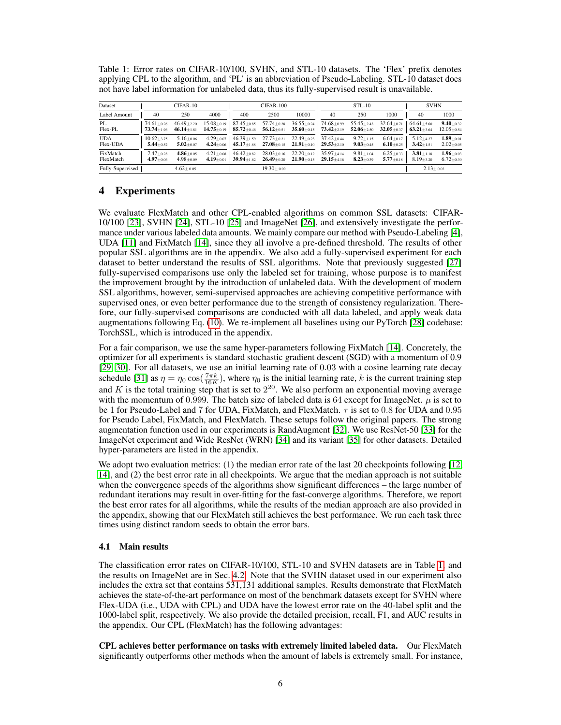<span id="page-5-0"></span>Table 1: Error rates on CIFAR-10/100, SVHN, and STL-10 datasets. The 'Flex' prefix denotes applying CPL to the algorithm, and 'PL' is an abbreviation of Pseudo-Labeling. STL-10 dataset does not have label information for unlabeled data, thus its fully-supervised result is unavailable.

| Dataset                             | CIFAR-10                           |                                      |                                      | CIFAR-100                            |                                                                                         |                                      | $STL-10$                             |                                                  |                                      | <b>SVHN</b>                          |                                     |
|-------------------------------------|------------------------------------|--------------------------------------|--------------------------------------|--------------------------------------|-----------------------------------------------------------------------------------------|--------------------------------------|--------------------------------------|--------------------------------------------------|--------------------------------------|--------------------------------------|-------------------------------------|
| Label Amount                        | 40                                 | 250                                  | 4000                                 | 400                                  | 2500                                                                                    | 10000                                | 40                                   | 250                                              | 1000                                 | 40                                   | 1000                                |
| PL<br>Flex-PL                       | $74.61 + 0.26$<br>$73.74 \pm 1.96$ | $46.49 \pm 2.20$<br>$46.14 \pm 1.81$ | $15.08 \pm 0.19$<br>$14.75 \pm 0.19$ | $87.45 \pm 0.85$                     | $57.74 \pm 0.28$<br>85.72 $\pm$ 0.46 56.12 $\pm$ 0.51 35.60 $\pm$ 0.15 73.42 $\pm$ 2.19 | $36.55 \pm 0.24$                     | $74.68 \pm 0.99$                     | $55.45 \pm 2.43$<br>$52.06 \pm 2.50$             | $32.64 \pm 0.71$<br>$32.05 \pm 0.37$ | $64.61 \pm 5.60$<br>$63.21 \pm 3.64$ | $9.40 \pm 0.32$<br>$12.05 \pm 0.54$ |
| <b>UDA</b><br>Flex-UDA              | $10.62 + 3.75$<br>$5.44 + 0.52$    | $5.16 + 0.06$<br>$5.02 \pm 0.07$     | $4.29 + 0.07$<br>$4.24 \pm 0.06$     | $46.39 + 1.59$                       | $27.73 \pm 0.21$<br>$45.17 \pm 1.88$ $27.08 \pm 0.15$ $21.91 \pm 0.10$                  | $22.49 \pm 0.23$                     | $37.42 + 8.44$<br>$29.53 \pm 2.10$   | $9.72 \pm 1.15$<br>$9.03 \scriptstyle{\pm 0.45}$ | $6.64 + 0.17$<br>$6.10 \pm 0.25$     | $5.12 + 4.27$<br>$3.42 \pm 1.51$     | $1.89 + 0.01$<br>$2.02 \pm 0.05$    |
| FixMatch<br>FlexMatch               | $7.47 + 0.28$<br>$4.97 + 0.06$     | $4.86 \pm 0.05$<br>$4.98 + 0.09$     | $4.21 \pm 0.08$<br>$4.19 \pm 0.01$   | $46.42 \pm 0.82$<br>39.94 $\pm$ 1.62 | $28.03 \pm 0.16$<br>$26.49 \pm 0.20$                                                    | $22.20 \pm 0.12$<br>$21.90 \pm 0.15$ | $35.97 \pm 4.14$<br>$29.15 \pm 4.16$ | $9.81 \pm 1.04$<br>$8.23 \pm 0.39$               | $6.25 + 0.33$<br>$5.77 \pm 0.18$     | $3.81 + 1.18$<br>$8.19 \pm 3.20$     | $1.96 + 0.03$<br>$6.72 \pm 0.30$    |
| Fully-Supervised<br>$4.62 \pm 0.05$ |                                    | $19.30 \pm 0.09$                     |                                      |                                      | $\overline{\phantom{0}}$                                                                |                                      |                                      | $2.13 \pm 0.02$                                  |                                      |                                      |                                     |

# 4 Experiments

We evaluate FlexMatch and other CPL-enabled algorithms on common SSL datasets: CIFAR-10/100 [\[23\]](#page-10-5), SVHN [\[24\]](#page-10-6), STL-10 [\[25\]](#page-10-7) and ImageNet [\[26\]](#page-10-8), and extensively investigate the performance under various labeled data amounts. We mainly compare our method with Pseudo-Labeling [\[4\]](#page-9-2), UDA [\[11\]](#page-9-7) and FixMatch [\[14\]](#page-9-6), since they all involve a pre-defined threshold. The results of other popular SSL algorithms are in the appendix. We also add a fully-supervised experiment for each dataset to better understand the results of SSL algorithms. Note that previously suggested [\[27\]](#page-10-9) fully-supervised comparisons use only the labeled set for training, whose purpose is to manifest the improvement brought by the introduction of unlabeled data. With the development of modern SSL algorithms, however, semi-supervised approaches are achieving competitive performance with supervised ones, or even better performance due to the strength of consistency regularization. Therefore, our fully-supervised comparisons are conducted with all data labeled, and apply weak data augmentations following Eq. [\(10\)](#page-3-4). We re-implement all baselines using our PyTorch [\[28\]](#page-10-10) codebase: TorchSSL, which is introduced in the appendix.

For a fair comparison, we use the same hyper-parameters following FixMatch [\[14\]](#page-9-6). Concretely, the optimizer for all experiments is standard stochastic gradient descent (SGD) with a momentum of 0.9 [\[29,](#page-10-11) [30\]](#page-10-12). For all datasets, we use an initial learning rate of 0.03 with a cosine learning rate decay schedule [\[31\]](#page-10-13) as  $\eta = \eta_0 \cos(\frac{7\pi k}{16K})$ , where  $\eta_0$  is the initial learning rate, k is the current training step and K is the total training step that is set to  $2^{20}$ . We also perform an exponential moving average and K is the total training step that is set to  $2^{20}$ . We also perform an exponential moving average with the momentum of 0.999. The batch size of labeled data is 64 except for ImageNet.  $\mu$  is set to be 1 for Pseudo-Label and 7 for UDA, FixMatch, and FlexMatch.  $\tau$  is set to 0.8 for UDA and 0.95 for Pseudo Label, FixMatch, and FlexMatch. These setups follow the original papers. The strong augmentation function used in our experiments is RandAugment [\[32\]](#page-10-14). We use ResNet-50 [\[33\]](#page-10-15) for the ImageNet experiment and Wide ResNet (WRN) [\[34\]](#page-10-16) and its variant [\[35\]](#page-10-17) for other datasets. Detailed hyper-parameters are listed in the appendix.

We adopt two evaluation metrics: (1) the median error rate of the last 20 checkpoints following [\[12,](#page-9-10) [14\]](#page-9-6), and (2) the best error rate in all checkpoints. We argue that the median approach is not suitable when the convergence speeds of the algorithms show significant differences – the large number of redundant iterations may result in over-fitting for the fast-converge algorithms. Therefore, we report the best error rates for all algorithms, while the results of the median approach are also provided in the appendix, showing that our FlexMatch still achieves the best performance. We run each task three times using distinct random seeds to obtain the error bars.

### 4.1 Main results

The classification error rates on CIFAR-10/100, STL-10 and SVHN datasets are in Table [1,](#page-5-0) and the results on ImageNet are in Sec. [4.2.](#page-6-0) Note that the SVHN dataset used in our experiment also includes the extra set that contains 531,131 additional samples. Results demonstrate that FlexMatch achieves the state-of-the-art performance on most of the benchmark datasets except for SVHN where Flex-UDA (i.e., UDA with CPL) and UDA have the lowest error rate on the 40-label split and the 1000-label split, respectively. We also provide the detailed precision, recall, F1, and AUC results in the appendix. Our CPL (FlexMatch) has the following advantages:

CPL achieves better performance on tasks with extremely limited labeled data. Our FlexMatch significantly outperforms other methods when the amount of labels is extremely small. For instance,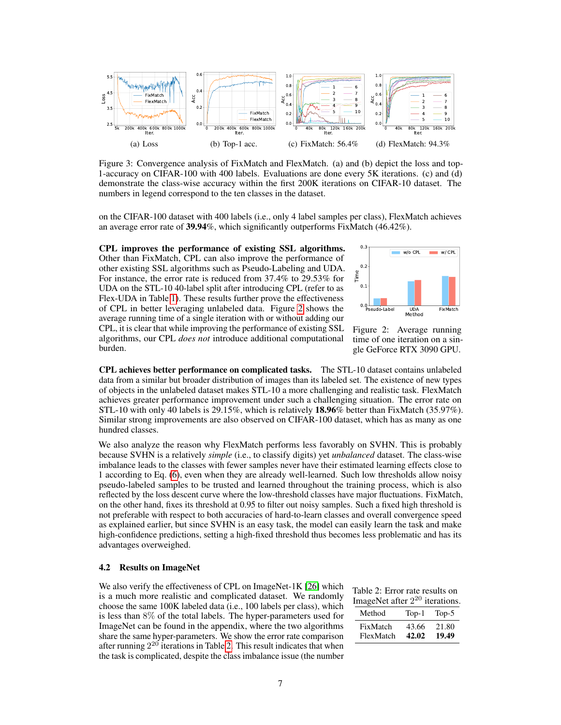

<span id="page-6-4"></span><span id="page-6-3"></span>Figure 3: Convergence analysis of FixMatch and FlexMatch. (a) and (b) depict the loss and top-1-accuracy on CIFAR-100 with 400 labels. Evaluations are done every 5K iterations. (c) and (d) demonstrate the class-wise accuracy within the first 200K iterations on CIFAR-10 dataset. The numbers in legend correspond to the ten classes in the dataset.

on the CIFAR-100 dataset with 400 labels (i.e., only 4 label samples per class), FlexMatch achieves an average error rate of 39.94%, which significantly outperforms FixMatch (46.42%).

CPL improves the performance of existing SSL algorithms. Other than FixMatch, CPL can also improve the performance of other existing SSL algorithms such as Pseudo-Labeling and UDA. For instance, the error rate is reduced from 37.4% to 29.53% for UDA on the STL-10 40-label split after introducing CPL (refer to as Flex-UDA in Table [1\)](#page-5-0). These results further prove the effectiveness of CPL in better leveraging unlabeled data. Figure [2](#page-6-1) shows the average running time of a single iteration with or without adding our CPL, it is clear that while improving the performance of existing SSL algorithms, our CPL *does not* introduce additional computational burden.

<span id="page-6-6"></span><span id="page-6-5"></span>

<span id="page-6-1"></span>Figure 2: Average running time of one iteration on a single GeForce RTX 3090 GPU.

CPL achieves better performance on complicated tasks. The STL-10 dataset contains unlabeled data from a similar but broader distribution of images than its labeled set. The existence of new types of objects in the unlabeled dataset makes STL-10 a more challenging and realistic task. FlexMatch achieves greater performance improvement under such a challenging situation. The error rate on STL-10 with only 40 labels is 29.15%, which is relatively 18.96% better than FixMatch (35.97%). Similar strong improvements are also observed on CIFAR-100 dataset, which has as many as one hundred classes.

We also analyze the reason why FlexMatch performs less favorably on SVHN. This is probably because SVHN is a relatively *simple* (i.e., to classify digits) yet *unbalanced* dataset. The class-wise imbalance leads to the classes with fewer samples never have their estimated learning effects close to 1 according to Eq. [\(6\)](#page-3-0), even when they are already well-learned. Such low thresholds allow noisy pseudo-labeled samples to be trusted and learned throughout the training process, which is also reflected by the loss descent curve where the low-threshold classes have major fluctuations. FixMatch, on the other hand, fixes its threshold at 0.95 to filter out noisy samples. Such a fixed high threshold is not preferable with respect to both accuracies of hard-to-learn classes and overall convergence speed as explained earlier, but since SVHN is an easy task, the model can easily learn the task and make high-confidence predictions, setting a high-fixed threshold thus becomes less problematic and has its advantages overweighed.

#### <span id="page-6-0"></span>4.2 Results on ImageNet

We also verify the effectiveness of CPL on ImageNet-1K [\[26\]](#page-10-8) which is a much more realistic and complicated dataset. We randomly choose the same 100K labeled data (i.e., 100 labels per class), which is less than 8% of the total labels. The hyper-parameters used for ImageNet can be found in the appendix, where the two algorithms share the same hyper-parameters. We show the error rate comparison after running  $2^{20}$  iterations in Table [2.](#page-6-2) This result indicates that when the task is complicated, despite the class imbalance issue (the number

<span id="page-6-2"></span>

|  |  |  |  | Table 2: Error rate results on      |  |
|--|--|--|--|-------------------------------------|--|
|  |  |  |  | ImageNet after $2^{20}$ iterations. |  |
|  |  |  |  |                                     |  |

| FixMatch  | 43.66   | 21.80 |
|-----------|---------|-------|
| FlexMatch | 42.02   | 19.49 |
| Method    | $Top-1$ | Top-5 |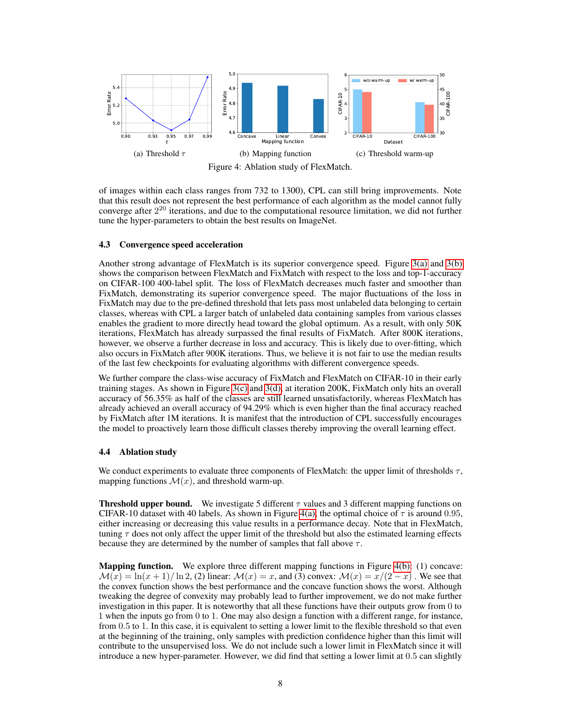<span id="page-7-1"></span>

<span id="page-7-3"></span><span id="page-7-2"></span>Figure 4: Ablation study of FlexMatch.

of images within each class ranges from 732 to 1300), CPL can still bring improvements. Note that this result does not represent the best performance of each algorithm as the model cannot fully converge after  $2^{20}$  iterations, and due to the computational resource limitation, we did not further tune the hyper-parameters to obtain the best results on ImageNet.

### 4.3 Convergence speed acceleration

Another strong advantage of FlexMatch is its superior convergence speed. Figure [3\(a\)](#page-6-3) and [3\(b\)](#page-6-4) shows the comparison between FlexMatch and FixMatch with respect to the loss and top-1-accuracy on CIFAR-100 400-label split. The loss of FlexMatch decreases much faster and smoother than FixMatch, demonstrating its superior convergence speed. The major fluctuations of the loss in FixMatch may due to the pre-defined threshold that lets pass most unlabeled data belonging to certain classes, whereas with CPL a larger batch of unlabeled data containing samples from various classes enables the gradient to more directly head toward the global optimum. As a result, with only 50K iterations, FlexMatch has already surpassed the final results of FixMatch. After 800K iterations, however, we observe a further decrease in loss and accuracy. This is likely due to over-fitting, which also occurs in FixMatch after 900K iterations. Thus, we believe it is not fair to use the median results of the last few checkpoints for evaluating algorithms with different convergence speeds.

We further compare the class-wise accuracy of FixMatch and FlexMatch on CIFAR-10 in their early training stages. As shown in Figure [3\(c\)](#page-6-5) and [3\(d\),](#page-6-6) at iteration 200K, FixMatch only hits an overall accuracy of 56.35% as half of the classes are still learned unsatisfactorily, whereas FlexMatch has already achieved an overall accuracy of 94.29% which is even higher than the final accuracy reached by FixMatch after 1M iterations. It is manifest that the introduction of CPL successfully encourages the model to proactively learn those difficult classes thereby improving the overall learning effect.

## <span id="page-7-0"></span>4.4 Ablation study

We conduct experiments to evaluate three components of FlexMatch: the upper limit of thresholds  $\tau$ , mapping functions  $\mathcal{M}(x)$ , and threshold warm-up.

**Threshold upper bound.** We investigate 5 different  $\tau$  values and 3 different mapping functions on CIFAR-10 dataset with 40 labels. As shown in Figure [4\(a\),](#page-7-1) the optimal choice of  $\tau$  is around 0.95, either increasing or decreasing this value results in a performance decay. Note that in FlexMatch, tuning  $\tau$  does not only affect the upper limit of the threshold but also the estimated learning effects because they are determined by the number of samples that fall above  $\tau$ .

Mapping function. We explore three different mapping functions in Figure [4\(b\):](#page-7-2) (1) concave:  $\mathcal{M}(x) = \ln(x+1)/\ln 2$ , (2) linear:  $\mathcal{M}(x) = x$ , and (3) convex:  $\mathcal{M}(x) = x/(2-x)$ . We see that the convex function shows the best performance and the concave function shows the worst. Although tweaking the degree of convexity may probably lead to further improvement, we do not make further investigation in this paper. It is noteworthy that all these functions have their outputs grow from 0 to 1 when the inputs go from 0 to 1. One may also design a function with a different range, for instance, from 0.5 to 1. In this case, it is equivalent to setting a lower limit to the flexible threshold so that even at the beginning of the training, only samples with prediction confidence higher than this limit will contribute to the unsupervised loss. We do not include such a lower limit in FlexMatch since it will introduce a new hyper-parameter. However, we did find that setting a lower limit at 0.5 can slightly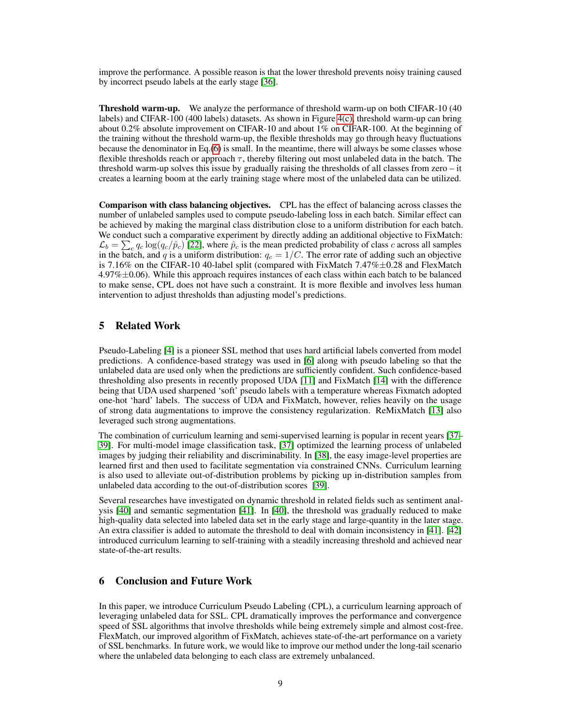improve the performance. A possible reason is that the lower threshold prevents noisy training caused by incorrect pseudo labels at the early stage [\[36\]](#page-11-0).

Threshold warm-up. We analyze the performance of threshold warm-up on both CIFAR-10 (40 labels) and CIFAR-100 (400 labels) datasets. As shown in Figure [4\(c\),](#page-7-3) threshold warm-up can bring about 0.2% absolute improvement on CIFAR-10 and about 1% on CIFAR-100. At the beginning of the training without the threshold warm-up, the flexible thresholds may go through heavy fluctuations because the denominator in Eq.[\(6\)](#page-3-0) is small. In the meantime, there will always be some classes whose flexible thresholds reach or approach  $\tau$ , thereby filtering out most unlabeled data in the batch. The threshold warm-up solves this issue by gradually raising the thresholds of all classes from zero – it creates a learning boom at the early training stage where most of the unlabeled data can be utilized.

Comparison with class balancing objectives. CPL has the effect of balancing across classes the number of unlabeled samples used to compute pseudo-labeling loss in each batch. Similar effect can be achieved by making the marginal class distribution close to a uniform distribution for each batch. We conduct such a comparative experiment by directly adding an additional objective to FixMatch:  $\mathcal{L}_b = \sum_c q_c \log(q_c/\hat{p}_c)$  [\[22\]](#page-10-4), where  $\hat{p}_c$  is the mean predicted probability of class c across all samples in the batch, and q is a uniform distribution:  $q_c = 1/C$ . The error rate of adding such an objective is 7.16% on the CIFAR-10 40-label split (compared with FixMatch  $7.47\% \pm 0.28$  and FlexMatch  $4.97\% \pm 0.06$ ). While this approach requires instances of each class within each batch to be balanced to make sense, CPL does not have such a constraint. It is more flexible and involves less human intervention to adjust thresholds than adjusting model's predictions.

### 5 Related Work

Pseudo-Labeling [\[4\]](#page-9-2) is a pioneer SSL method that uses hard artificial labels converted from model predictions. A confidence-based strategy was used in [\[6\]](#page-9-13) along with pseudo labeling so that the unlabeled data are used only when the predictions are sufficiently confident. Such confidence-based thresholding also presents in recently proposed UDA [\[11\]](#page-9-7) and FixMatch [\[14\]](#page-9-6) with the difference being that UDA used sharpened 'soft' pseudo labels with a temperature whereas Fixmatch adopted one-hot 'hard' labels. The success of UDA and FixMatch, however, relies heavily on the usage of strong data augmentations to improve the consistency regularization. ReMixMatch [\[13\]](#page-9-5) also leveraged such strong augmentations.

The combination of curriculum learning and semi-supervised learning is popular in recent years [\[37–](#page-11-1) [39\]](#page-11-2). For multi-model image classification task, [\[37\]](#page-11-1) optimized the learning process of unlabeled images by judging their reliability and discriminability. In [\[38\]](#page-11-3), the easy image-level properties are learned first and then used to facilitate segmentation via constrained CNNs. Curriculum learning is also used to alleviate out-of-distribution problems by picking up in-distribution samples from unlabeled data according to the out-of-distribution scores [\[39\]](#page-11-2).

Several researches have investigated on dynamic threshold in related fields such as sentiment analysis [\[40\]](#page-11-4) and semantic segmentation [\[41\]](#page-11-5). In [\[40\]](#page-11-4), the threshold was gradually reduced to make high-quality data selected into labeled data set in the early stage and large-quantity in the later stage. An extra classifier is added to automate the threshold to deal with domain inconsistency in [\[41\]](#page-11-5). [\[42\]](#page-11-6) introduced curriculum learning to self-training with a steadily increasing threshold and achieved near state-of-the-art results.

# 6 Conclusion and Future Work

In this paper, we introduce Curriculum Pseudo Labeling (CPL), a curriculum learning approach of leveraging unlabeled data for SSL. CPL dramatically improves the performance and convergence speed of SSL algorithms that involve thresholds while being extremely simple and almost cost-free. FlexMatch, our improved algorithm of FixMatch, achieves state-of-the-art performance on a variety of SSL benchmarks. In future work, we would like to improve our method under the long-tail scenario where the unlabeled data belonging to each class are extremely unbalanced.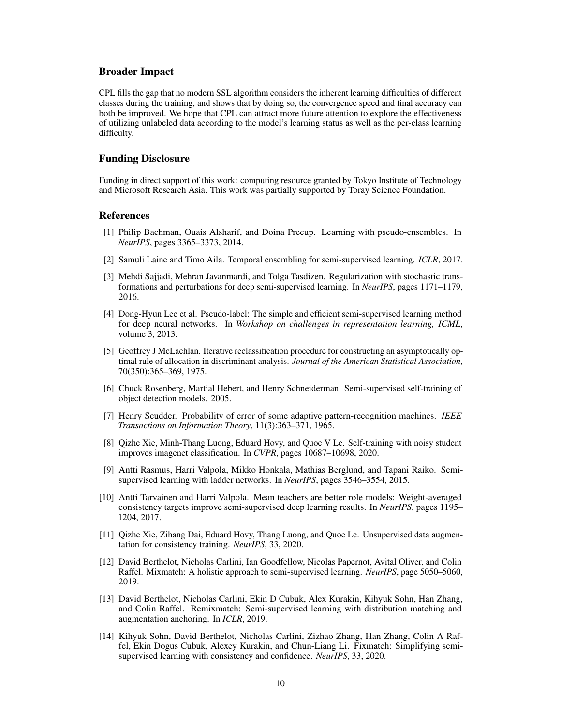### Broader Impact

CPL fills the gap that no modern SSL algorithm considers the inherent learning difficulties of different classes during the training, and shows that by doing so, the convergence speed and final accuracy can both be improved. We hope that CPL can attract more future attention to explore the effectiveness of utilizing unlabeled data according to the model's learning status as well as the per-class learning difficulty.

### Funding Disclosure

Funding in direct support of this work: computing resource granted by Tokyo Institute of Technology and Microsoft Research Asia. This work was partially supported by Toray Science Foundation.

## References

- <span id="page-9-0"></span>[1] Philip Bachman, Ouais Alsharif, and Doina Precup. Learning with pseudo-ensembles. In *NeurIPS*, pages 3365–3373, 2014.
- <span id="page-9-8"></span>[2] Samuli Laine and Timo Aila. Temporal ensembling for semi-supervised learning. *ICLR*, 2017.
- <span id="page-9-1"></span>[3] Mehdi Sajjadi, Mehran Javanmardi, and Tolga Tasdizen. Regularization with stochastic transformations and perturbations for deep semi-supervised learning. In *NeurIPS*, pages 1171–1179, 2016.
- <span id="page-9-2"></span>[4] Dong-Hyun Lee et al. Pseudo-label: The simple and efficient semi-supervised learning method for deep neural networks. In *Workshop on challenges in representation learning, ICML*, volume 3, 2013.
- <span id="page-9-11"></span>[5] Geoffrey J McLachlan. Iterative reclassification procedure for constructing an asymptotically optimal rule of allocation in discriminant analysis. *Journal of the American Statistical Association*, 70(350):365–369, 1975.
- <span id="page-9-13"></span>[6] Chuck Rosenberg, Martial Hebert, and Henry Schneiderman. Semi-supervised self-training of object detection models. 2005.
- <span id="page-9-12"></span>[7] Henry Scudder. Probability of error of some adaptive pattern-recognition machines. *IEEE Transactions on Information Theory*, 11(3):363–371, 1965.
- <span id="page-9-3"></span>[8] Qizhe Xie, Minh-Thang Luong, Eduard Hovy, and Quoc V Le. Self-training with noisy student improves imagenet classification. In *CVPR*, pages 10687–10698, 2020.
- <span id="page-9-4"></span>[9] Antti Rasmus, Harri Valpola, Mikko Honkala, Mathias Berglund, and Tapani Raiko. Semisupervised learning with ladder networks. In *NeurIPS*, pages 3546–3554, 2015.
- <span id="page-9-9"></span>[10] Antti Tarvainen and Harri Valpola. Mean teachers are better role models: Weight-averaged consistency targets improve semi-supervised deep learning results. In *NeurIPS*, pages 1195– 1204, 2017.
- <span id="page-9-7"></span>[11] Qizhe Xie, Zihang Dai, Eduard Hovy, Thang Luong, and Quoc Le. Unsupervised data augmentation for consistency training. *NeurIPS*, 33, 2020.
- <span id="page-9-10"></span>[12] David Berthelot, Nicholas Carlini, Ian Goodfellow, Nicolas Papernot, Avital Oliver, and Colin Raffel. Mixmatch: A holistic approach to semi-supervised learning. *NeurIPS*, page 5050–5060, 2019.
- <span id="page-9-5"></span>[13] David Berthelot, Nicholas Carlini, Ekin D Cubuk, Alex Kurakin, Kihyuk Sohn, Han Zhang, and Colin Raffel. Remixmatch: Semi-supervised learning with distribution matching and augmentation anchoring. In *ICLR*, 2019.
- <span id="page-9-6"></span>[14] Kihyuk Sohn, David Berthelot, Nicholas Carlini, Zizhao Zhang, Han Zhang, Colin A Raffel, Ekin Dogus Cubuk, Alexey Kurakin, and Chun-Liang Li. Fixmatch: Simplifying semisupervised learning with consistency and confidence. *NeurIPS*, 33, 2020.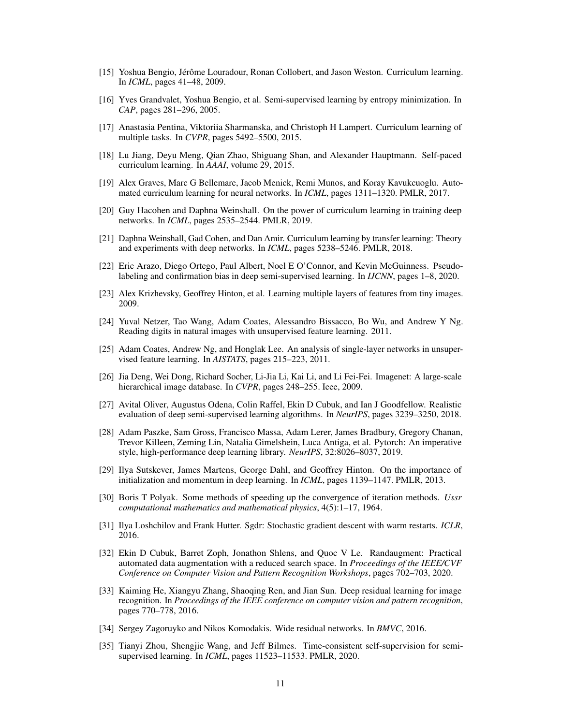- <span id="page-10-0"></span>[15] Yoshua Bengio, Jérôme Louradour, Ronan Collobert, and Jason Weston. Curriculum learning. In *ICML*, pages 41–48, 2009.
- <span id="page-10-1"></span>[16] Yves Grandvalet, Yoshua Bengio, et al. Semi-supervised learning by entropy minimization. In *CAP*, pages 281–296, 2005.
- <span id="page-10-2"></span>[17] Anastasia Pentina, Viktoriia Sharmanska, and Christoph H Lampert. Curriculum learning of multiple tasks. In *CVPR*, pages 5492–5500, 2015.
- [18] Lu Jiang, Deyu Meng, Qian Zhao, Shiguang Shan, and Alexander Hauptmann. Self-paced curriculum learning. In *AAAI*, volume 29, 2015.
- [19] Alex Graves, Marc G Bellemare, Jacob Menick, Remi Munos, and Koray Kavukcuoglu. Automated curriculum learning for neural networks. In *ICML*, pages 1311–1320. PMLR, 2017.
- [20] Guy Hacohen and Daphna Weinshall. On the power of curriculum learning in training deep networks. In *ICML*, pages 2535–2544. PMLR, 2019.
- <span id="page-10-3"></span>[21] Daphna Weinshall, Gad Cohen, and Dan Amir. Curriculum learning by transfer learning: Theory and experiments with deep networks. In *ICML*, pages 5238–5246. PMLR, 2018.
- <span id="page-10-4"></span>[22] Eric Arazo, Diego Ortego, Paul Albert, Noel E O'Connor, and Kevin McGuinness. Pseudolabeling and confirmation bias in deep semi-supervised learning. In *IJCNN*, pages 1–8, 2020.
- <span id="page-10-5"></span>[23] Alex Krizhevsky, Geoffrey Hinton, et al. Learning multiple layers of features from tiny images. 2009.
- <span id="page-10-6"></span>[24] Yuval Netzer, Tao Wang, Adam Coates, Alessandro Bissacco, Bo Wu, and Andrew Y Ng. Reading digits in natural images with unsupervised feature learning. 2011.
- <span id="page-10-7"></span>[25] Adam Coates, Andrew Ng, and Honglak Lee. An analysis of single-layer networks in unsupervised feature learning. In *AISTATS*, pages 215–223, 2011.
- <span id="page-10-8"></span>[26] Jia Deng, Wei Dong, Richard Socher, Li-Jia Li, Kai Li, and Li Fei-Fei. Imagenet: A large-scale hierarchical image database. In *CVPR*, pages 248–255. Ieee, 2009.
- <span id="page-10-9"></span>[27] Avital Oliver, Augustus Odena, Colin Raffel, Ekin D Cubuk, and Ian J Goodfellow. Realistic evaluation of deep semi-supervised learning algorithms. In *NeurIPS*, pages 3239–3250, 2018.
- <span id="page-10-10"></span>[28] Adam Paszke, Sam Gross, Francisco Massa, Adam Lerer, James Bradbury, Gregory Chanan, Trevor Killeen, Zeming Lin, Natalia Gimelshein, Luca Antiga, et al. Pytorch: An imperative style, high-performance deep learning library. *NeurIPS*, 32:8026–8037, 2019.
- <span id="page-10-11"></span>[29] Ilya Sutskever, James Martens, George Dahl, and Geoffrey Hinton. On the importance of initialization and momentum in deep learning. In *ICML*, pages 1139–1147. PMLR, 2013.
- <span id="page-10-12"></span>[30] Boris T Polyak. Some methods of speeding up the convergence of iteration methods. *Ussr computational mathematics and mathematical physics*, 4(5):1–17, 1964.
- <span id="page-10-13"></span>[31] Ilya Loshchilov and Frank Hutter. Sgdr: Stochastic gradient descent with warm restarts. *ICLR*, 2016.
- <span id="page-10-14"></span>[32] Ekin D Cubuk, Barret Zoph, Jonathon Shlens, and Quoc V Le. Randaugment: Practical automated data augmentation with a reduced search space. In *Proceedings of the IEEE/CVF Conference on Computer Vision and Pattern Recognition Workshops*, pages 702–703, 2020.
- <span id="page-10-15"></span>[33] Kaiming He, Xiangyu Zhang, Shaoqing Ren, and Jian Sun. Deep residual learning for image recognition. In *Proceedings of the IEEE conference on computer vision and pattern recognition*, pages 770–778, 2016.
- <span id="page-10-16"></span>[34] Sergey Zagoruyko and Nikos Komodakis. Wide residual networks. In *BMVC*, 2016.
- <span id="page-10-17"></span>[35] Tianyi Zhou, Shengjie Wang, and Jeff Bilmes. Time-consistent self-supervision for semisupervised learning. In *ICML*, pages 11523–11533. PMLR, 2020.